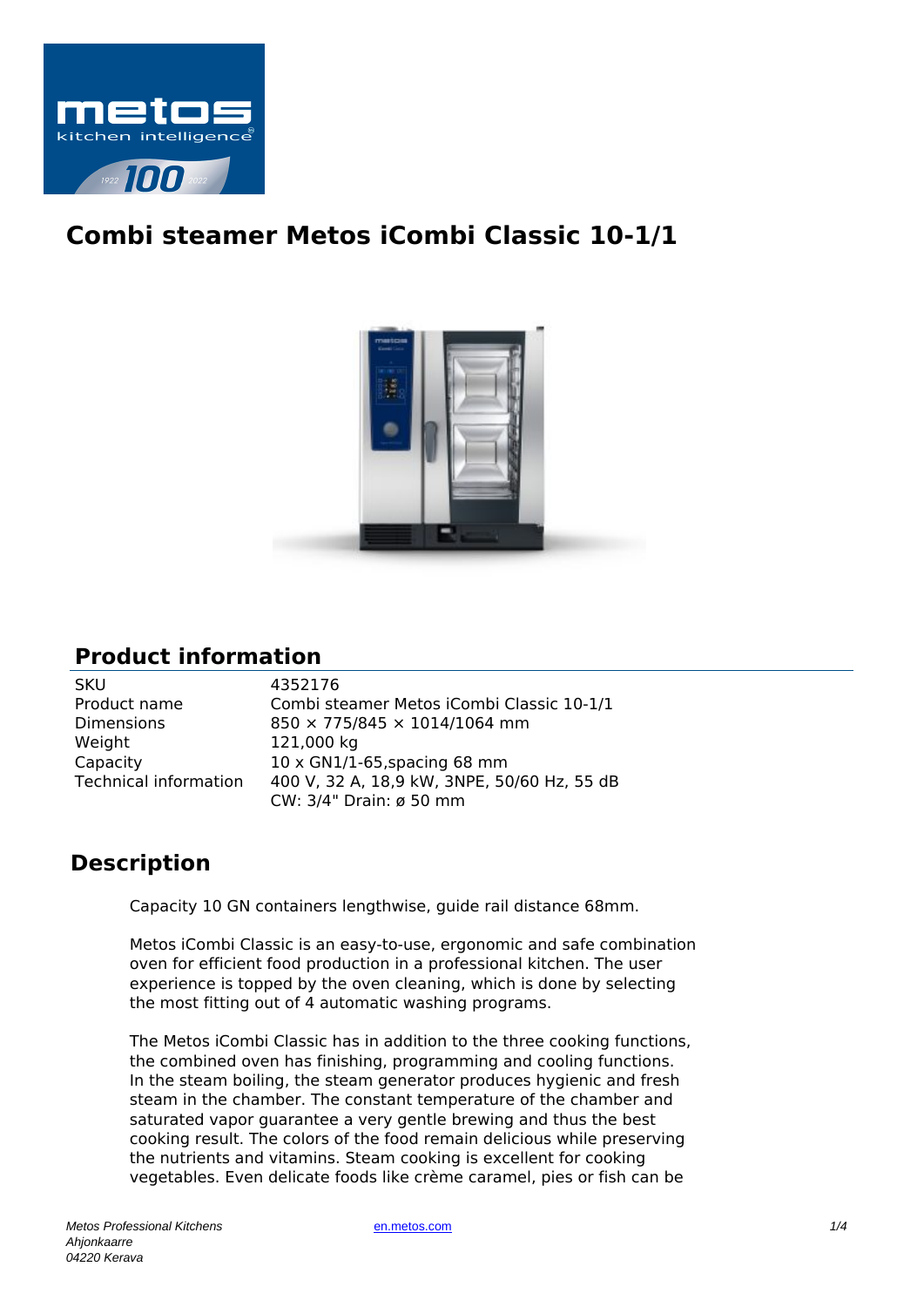

## **Combi steamer Metos iCombi Classic 10-1/1**



## **Product information**

| SKU                          |
|------------------------------|
| Product name                 |
| Dimensions                   |
| Weight                       |
| Capacity                     |
| <b>Technical information</b> |
|                              |

4352176 Combi steamer Metos iCombi Classic 10-1/1  $850 \times 775/845 \times 1014/1064$  mm 121,000 kg  $10 \times$  GN1/1-65,spacing 68 mm 400 V, 32 A, 18,9 kW, 3NPE, 50/60 Hz, 55 dB CW: 3/4" Drain: ø 50 mm

## **Description**

Capacity 10 GN containers lengthwise, guide rail distance 68mm.

Metos iCombi Classic is an easy-to-use, ergonomic and safe combination oven for efficient food production in a professional kitchen. The user experience is topped by the oven cleaning, which is done by selecting the most fitting out of 4 automatic washing programs.

The Metos iCombi Classic has in addition to the three cooking functions, the combined oven has finishing, programming and cooling functions. In the steam boiling, the steam generator produces hygienic and fresh steam in the chamber. The constant temperature of the chamber and saturated vapor guarantee a very gentle brewing and thus the best cooking result. The colors of the food remain delicious while preserving the nutrients and vitamins. Steam cooking is excellent for cooking vegetables. Even delicate foods like crème caramel, pies or fish can be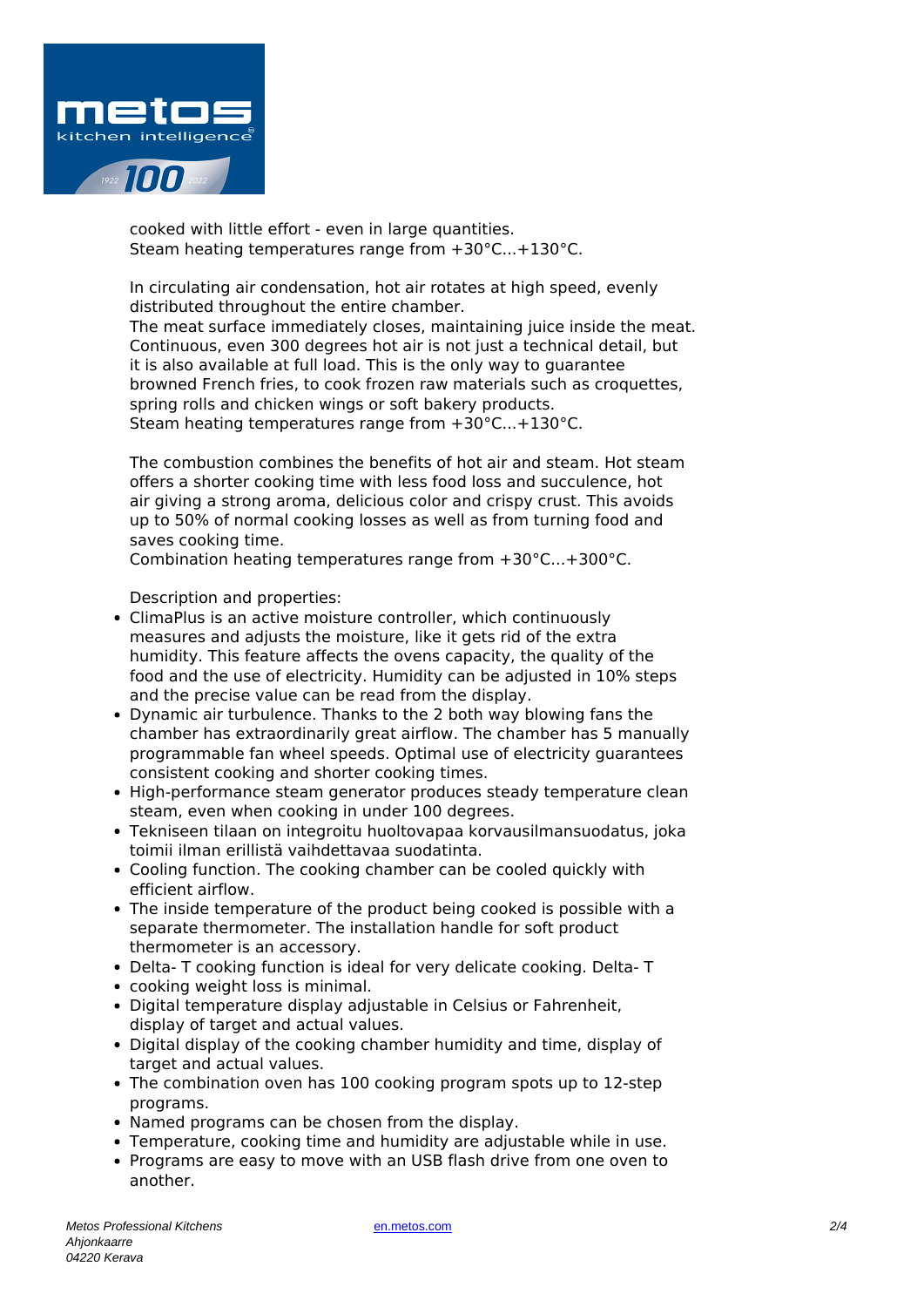

cooked with little effort - even in large quantities. Steam heating temperatures range from +30°C...+130°C.

In circulating air condensation, hot air rotates at high speed, evenly distributed throughout the entire chamber. The meat surface immediately closes, maintaining juice inside the meat. Continuous, even 300 degrees hot air is not just a technical detail, but it is also available at full load. This is the only way to guarantee browned French fries, to cook frozen raw materials such as croquettes, spring rolls and chicken wings or soft bakery products. Steam heating temperatures range from +30°C...+130°C.

The combustion combines the benefits of hot air and steam. Hot steam offers a shorter cooking time with less food loss and succulence, hot air giving a strong aroma, delicious color and crispy crust. This avoids up to 50% of normal cooking losses as well as from turning food and saves cooking time.

Combination heating temperatures range from +30°C...+300°C.

Description and properties:

- ClimaPlus is an active moisture controller, which continuously measures and adjusts the moisture, like it gets rid of the extra humidity. This feature affects the ovens capacity, the quality of the food and the use of electricity. Humidity can be adjusted in 10% steps and the precise value can be read from the display.
- Dynamic air turbulence. Thanks to the 2 both way blowing fans the chamber has extraordinarily great airflow. The chamber has 5 manually programmable fan wheel speeds. Optimal use of electricity guarantees consistent cooking and shorter cooking times.
- High-performance steam generator produces steady temperature clean steam, even when cooking in under 100 degrees.
- Tekniseen tilaan on integroitu huoltovapaa korvausilmansuodatus, joka toimii ilman erillistä vaihdettavaa suodatinta.
- Cooling function. The cooking chamber can be cooled quickly with efficient airflow.
- The inside temperature of the product being cooked is possible with a separate thermometer. The installation handle for soft product thermometer is an accessory.
- Delta- T cooking function is ideal for very delicate cooking. Delta- T
- cooking weight loss is minimal.
- Digital temperature display adjustable in Celsius or Fahrenheit, display of target and actual values.
- Digital display of the cooking chamber humidity and time, display of target and actual values.
- The combination oven has 100 cooking program spots up to 12-step programs.
- Named programs can be chosen from the display.
- Temperature, cooking time and humidity are adjustable while in use.
- Programs are easy to move with an USB flash drive from one oven to another.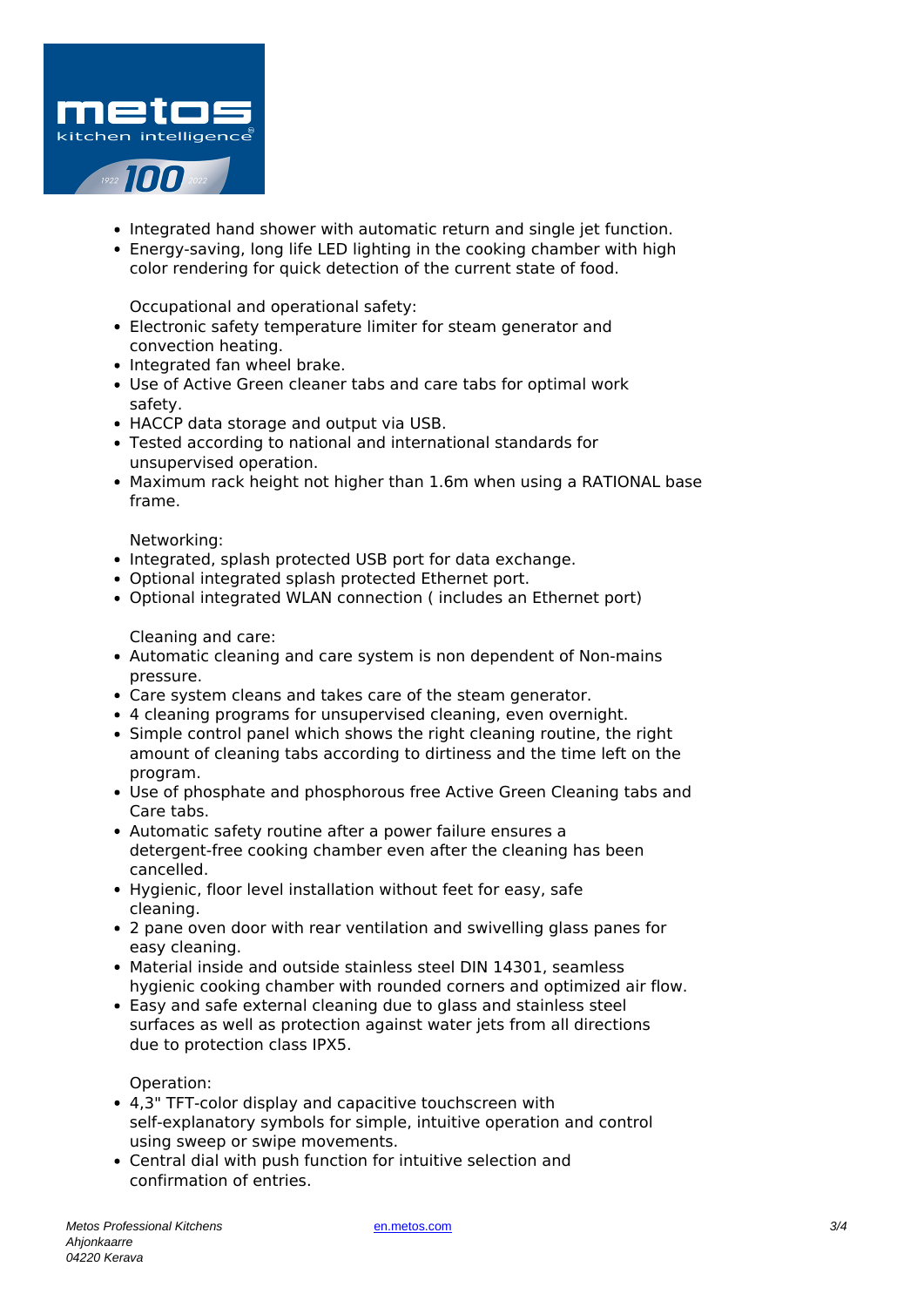

- Integrated hand shower with automatic return and single jet function.
- Energy-saving, long life LED lighting in the cooking chamber with high color rendering for quick detection of the current state of food.

Occupational and operational safety:

- Electronic safety temperature limiter for steam generator and convection heating.
- Integrated fan wheel brake.
- Use of Active Green cleaner tabs and care tabs for optimal work safety.
- HACCP data storage and output via USB.
- Tested according to national and international standards for unsupervised operation.
- Maximum rack height not higher than 1.6m when using a RATIONAL base frame.

Networking:

- Integrated, splash protected USB port for data exchange.
- Optional integrated splash protected Ethernet port.
- Optional integrated WLAN connection ( includes an Ethernet port)

Cleaning and care:

- Automatic cleaning and care system is non dependent of Non-mains pressure.
- Care system cleans and takes care of the steam generator.
- 4 cleaning programs for unsupervised cleaning, even overnight.
- Simple control panel which shows the right cleaning routine, the right amount of cleaning tabs according to dirtiness and the time left on the program.
- Use of phosphate and phosphorous free Active Green Cleaning tabs and Care tabs.
- Automatic safety routine after a power failure ensures a detergent-free cooking chamber even after the cleaning has been cancelled.
- Hygienic, floor level installation without feet for easy, safe cleaning.
- 2 pane oven door with rear ventilation and swivelling glass panes for easy cleaning.
- Material inside and outside stainless steel DIN 14301, seamless hygienic cooking chamber with rounded corners and optimized air flow.
- Easy and safe external cleaning due to glass and stainless steel surfaces as well as protection against water jets from all directions due to protection class IPX5.

Operation:

- 4,3" TFT-color display and capacitive touchscreen with self-explanatory symbols for simple, intuitive operation and control using sweep or swipe movements.
- Central dial with push function for intuitive selection and confirmation of entries.